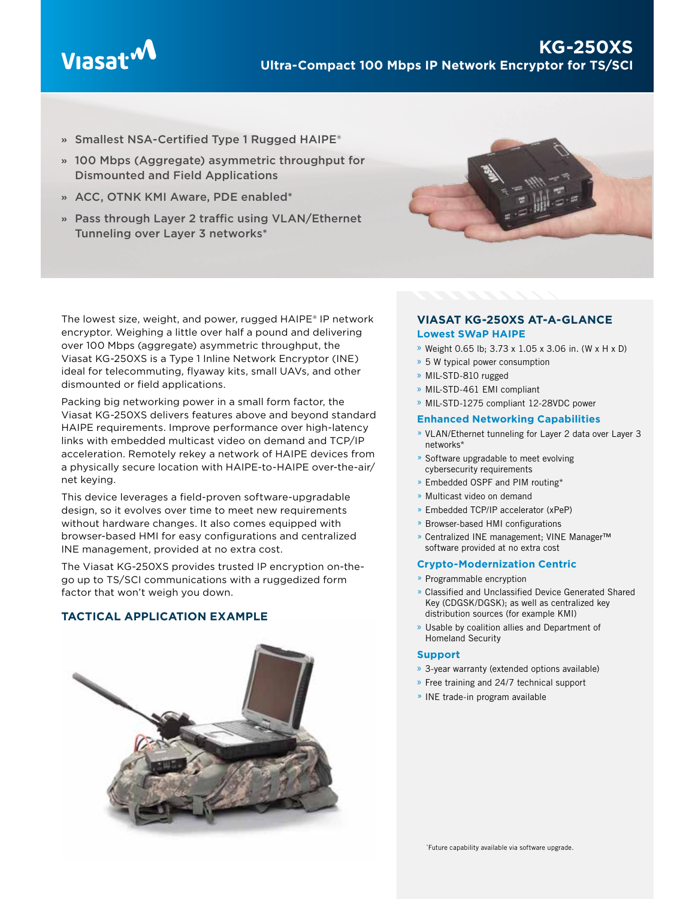

- **»** Smallest NSA-Certified Type 1 Rugged HAIPE®
- **»** 100 Mbps (Aggregate) asymmetric throughput for Dismounted and Field Applications
- **»** ACC, OTNK KMI Aware, PDE enabled\*
- **»** Pass through Layer 2 traffic using VLAN/Ethernet Tunneling over Layer 3 networks\*



The lowest size, weight, and power, rugged HAIPE® IP network encryptor. Weighing a little over half a pound and delivering over 100 Mbps (aggregate) asymmetric throughput, the Viasat KG-250XS is a Type 1 Inline Network Encryptor (INE) ideal for telecommuting, flyaway kits, small UAVs, and other dismounted or field applications.

Packing big networking power in a small form factor, the Viasat KG-250XS delivers features above and beyond standard HAIPE requirements. Improve performance over high-latency links with embedded multicast video on demand and TCP/IP acceleration. Remotely rekey a network of HAIPE devices from a physically secure location with HAIPE-to-HAIPE over-the-air/ net keying.

This device leverages a field-proven software-upgradable design, so it evolves over time to meet new requirements without hardware changes. It also comes equipped with browser-based HMI for easy configurations and centralized INE management, provided at no extra cost.

The Viasat KG-250XS provides trusted IP encryption on-thego up to TS/SCI communications with a ruggedized form factor that won't weigh you down.

# **TACTICAL APPLICATION EXAMPLE**



## **VIASAT KG-250XS AT-A-GLANCE Lowest SWaP HAIPE**

- » Weight 0.65 lb; 3.73 x 1.05 x 3.06 in. (W x H x D)
- » 5 W typical power consumption
- » MIL-STD-810 rugged
- » MIL-STD-461 EMI compliant
- » MIL-STD-1275 compliant 12-28VDC power

## **Enhanced Networking Capabilities**

- » VLAN/Ethernet tunneling for Layer 2 data over Layer 3 networks\*
- » Software upgradable to meet evolving cybersecurity requirements
- » Embedded OSPF and PIM routing\*
- » Multicast video on demand
- » Embedded TCP/IP accelerator (xPeP)
- » Browser-based HMI configurations
- » Centralized INE management; VINE Manager™ software provided at no extra cost

## **Crypto-Modernization Centric**

- » Programmable encryption
- » Classified and Unclassified Device Generated Shared Key (CDGSK/DGSK); as well as centralized key distribution sources (for example KMI)
- » Usable by coalition allies and Department of Homeland Security

## **Support**

- » 3-year warranty (extended options available)
- » Free training and 24/7 technical support
- » INE trade-in program available